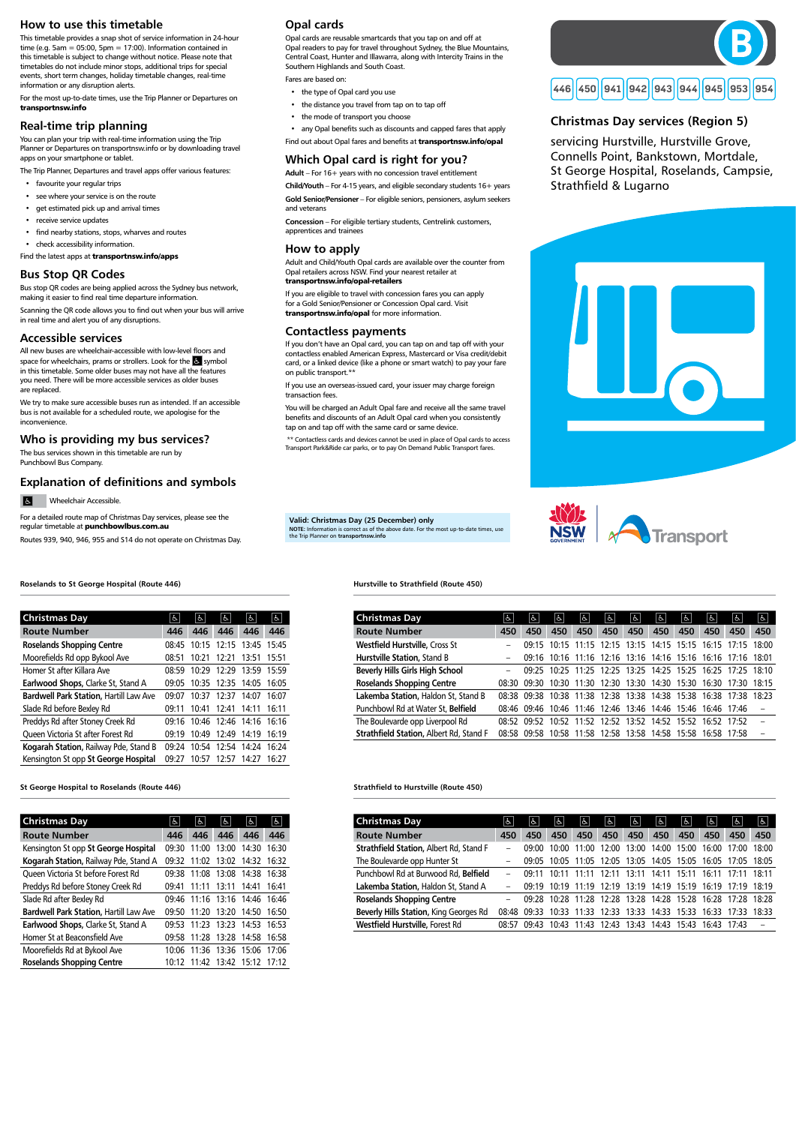# How to use this timetable

This timetable provides a snap shot of service information in 24-hour time (e.g. 5am = 05:00, 5pm = 17:00). Information contained in this timetable is subject to change without notice. Please note that timetables do not include minor stops, additional trips for special events, short term changes, holiday timetable changes, real-time information or any disruption alerts.

For the most up-to-date times, use the Trip Planner or Departures on **transportnsw.info**

## Real-time trip planning

You can plan your trip with real-time information using the Trip Planner or Departures on transportnsw.info or by downloading travel apps on your smartphone or tablet.

The Trip Planner, Departures and travel apps offer various features:

- favourite your regular trips
- see where your service is on the route
- get estimated pick up and arrival times
- receive service updates
- find nearby stations, stops, wharves and routes
- check accessibility information.

We try to make sure accessible buses run as intended. If an accessible bus is not available for a scheduled route, we apologise for the inconvenience.

Find the latest apps at **transportnsw.info/apps**

# Bus Stop QR Codes

Bus stop QR codes are being applied across the Sydney bus network, making it easier to find real time departure information.

Scanning the QR code allows you to find out when your bus will arrive in real time and alert you of any disruptions.

### Accessible services

All new buses are wheelchair-accessible with low-level floors and space for wheelchairs, prams or strollers. Look for the symbol in this timetable. Some older buses may not have all the features you need. There will be more accessible services as older buses are replaced.

### Who is providing my bus services?

# Opal cards

Opal cards are reusable smartcards that you tap on and off at Opal readers to pay for travel throughout Sydney, the Blue Mountains, Central Coast, Hunter and Illawarra, along with Intercity Trains in the Southern Highlands and South Coast.

Fares are based on:

- the type of Opal card you use
- the distance you travel from tap on to tap off
- the mode of transport you choose

• any Opal benefits such as discounts and capped fares that apply Find out about Opal fares and benefits at **transportnsw.info/opal**

# Which Opal card is right for you?

Adult – For 16+ years with no concession travel entitlement

Child/Youth – For 4-15 years, and eligible secondary students 16+ years

Gold Senior/Pensioner – For eligible seniors, pensioners, asylum seekers and veterans

Concession – For eligible tertiary students, Centrelink customers, apprentices and trainees

### How to apply

Adult and Child/Youth Opal cards are available over the counter from Opal retailers across NSW. Find your nearest retailer at **transportnsw.info/opal-retailers**

The bus services shown in this timetable are run by Punchbowl Bus Company.

If you are eligible to travel with concession fares you can apply for a Gold Senior/Pensioner or Concession Opal card. Visit **transportnsw.info/opal** for more information.

# Contactless payments

If you don't have an Opal card, you can tap on and tap off with your contactless enabled American Express, Mastercard or Visa credit/debit card, or a linked device (like a phone or smart watch) to pay your fare on public transport.\*\*

If you use an overseas-issued card, your issuer may charge foreign transaction fees.

You will be charged an Adult Opal fare and receive all the same travel benefits and discounts of an Adult Opal card when you consistently tap on and tap off with the same card or same device.

#### $\blacksquare$ Wheelchair Accessible.

 \*\* Contactless cards and devices cannot be used in place of Opal cards to access Transport Park&Ride car parks, or to pay On Demand Public Transport fares.

# NOTE: Information is correct as of the above date. For the most up-to-date times, use the Trip Planner on transportnsw.info

Valid: Christmas Day (25 December) only



Roselands to St George Hospital (Route 446)

St George Hospital to Roselands (Route 446) Strathfield to Hurstville (Route 450)

### Hurstville to Strathfield (Route 450)

| <b>Christmas Day</b>                    | e     | $\sigma$ | s                  | $\sigma$        | $\sigma$           | $ \mathbf{f} $ | $\sigma$ | &                                         | ဇ     | s                  | ය                  |
|-----------------------------------------|-------|----------|--------------------|-----------------|--------------------|----------------|----------|-------------------------------------------|-------|--------------------|--------------------|
| <b>Route Number</b>                     | 450   | 450      | 450                | 450             | 450                | 450            | 450      | 450                                       | 450   | 450                | 450                |
| Strathfield Station, Albert Rd, Stand F |       | 09.00    | 10 <sup>.</sup> 00 | 11:00           | 12 <sup>.</sup> 00 | 13:00          | 14:00    | 15:00                                     | 16:00 | 17 <sup>.</sup> 00 | 18 <sup>.</sup> 00 |
| The Boulevarde opp Hunter St            |       | 09.05    |                    | $10.05$ $11.05$ |                    |                |          | 12:05 13:05 14:05 15:05 16:05 17:05 18:05 |       |                    |                    |
| Punchbowl Rd at Burwood Rd, Belfield    |       | 09:11    | 10.11              | 11:11           | 12.11              | 13∙11          | 14:11    | 15:11                                     | 16:11 | 17.11              | 18∙11              |
| Lakemba Station, Haldon St, Stand A     |       | 09.19    |                    | $10.19$ $11.19$ |                    |                |          | 12:19 13:19 14:19 15:19 16:19             |       | 17.19              | 18∙19              |
| <b>Roselands Shopping Centre</b>        |       | 09.28    | 10.28              | 11.28           |                    |                |          | 12:28 13:28 14:28 15:28 16:28 17:28       |       |                    | 18∙28              |
| Beverly Hills Station, King Georges Rd  | 08.48 | 09.33    | 10:33              | 11.33           | 12.33              | 13:33          |          | 14:33 15:33                               | 16:33 | 17.33              | 18.33              |
| Westfield Hurstville, Forest Rd         | 08:57 | 09.43    | 10:43              | 11.43           | 12.43              | 13:43          | 14:43    | 15:43                                     | 16.43 | 17.43              |                    |

| <b>Christmas Day</b>                    | $ \mathbf{e} $ | $ \mathbf{f} $ | c     | $ \n\mathbf{P} $                                            | දූ $\mid$               | $ \epsilon $ | န္    | $\mathfrak{F}$ | f     | $\mathbb{P}$ | $\mathfrak{F}% _{A_{1},A_{2}}^{\alpha,\beta}(\varepsilon)$ |
|-----------------------------------------|----------------|----------------|-------|-------------------------------------------------------------|-------------------------|--------------|-------|----------------|-------|--------------|------------------------------------------------------------|
| <b>Route Number</b>                     | 450            | 450            | 450   | 450                                                         | 450                     | 450          | 450   | 450            | 450   | 450          | 450                                                        |
| <b>Westfield Hurstville, Cross St</b>   |                |                |       | 09:15 10:15 11:15 12:15 13:15 14:15 15:15 16:15 17:15       |                         |              |       |                |       |              | 18:00                                                      |
| Hurstville Station, Stand B             |                | 09:16          |       | 10:16 11:16 12:16 13:16 14:16 15:16 16:16 17:16 18:01       |                         |              |       |                |       |              |                                                            |
| <b>Beverly Hills Girls High School</b>  |                | 09.25          |       | 10:25 11:25 12:25 13:25 14:25 15:25 16:25 17:25 18:10       |                         |              |       |                |       |              |                                                            |
| <b>Roselands Shopping Centre</b>        | 08:30          | 09:30          |       | 10:30 11:30 12:30 13:30 14:30 15:30 16:30 17:30 18:15       |                         |              |       |                |       |              |                                                            |
| Lakemba Station, Haldon St, Stand B     | 08.38          |                |       | 09:38 10:38 11:38 12:38 13:38 14:38 15:38 16:38 17:38 18:23 |                         |              |       |                |       |              |                                                            |
| Punchbowl Rd at Water St, Belfield      | 08:46          |                |       | 09:46 10:46 11:46 12:46 13:46 14:46 15:46 16:46 17:46       |                         |              |       |                |       |              |                                                            |
| The Boulevarde opp Liverpool Rd         | 08.52          | 09.52          | 10:52 |                                                             | 11:52 12:52 13:52 14:52 |              |       | 15:52 16:52    |       | 17.52        |                                                            |
| Strathfield Station, Albert Rd, Stand F | <b>08.58</b>   | 09.58          | 10:58 |                                                             | 11:58 12:58             | 13:58        | 14:58 | 15:58          | 16:58 | 17.58        |                                                            |

| <b>Christmas Day</b>                          | ъ.                 | ಹಿ    | 16                | ಹಿ                | ಹಿ    |
|-----------------------------------------------|--------------------|-------|-------------------|-------------------|-------|
| <b>Route Number</b>                           | 446                | 446   | 446               | 446               | 446   |
| <b>Roselands Shopping Centre</b>              | 08.45              |       | 10:15 12:15 13:45 |                   | 15:45 |
| Moorefields Rd opp Bykool Ave                 | 08:51              |       | 10:21 12:21 13:51 |                   | 15:51 |
| Homer St after Killara Ave                    | 08.59              |       | 10:29 12:29 13:59 |                   | 15:59 |
| Earlwood Shops, Clarke St, Stand A            | 09:05              |       |                   | 10:35 12:35 14:05 | 16:05 |
| <b>Bardwell Park Station, Hartill Law Ave</b> | 09 <sup>.</sup> 07 |       | 10:37 12:37 14:07 |                   | 16:07 |
| Slade Rd before Bexley Rd                     | 09.11              | 10:41 | 12:41             | 14:11             | 16:11 |
| Preddys Rd after Stoney Creek Rd              | 09:16              |       | 10:46 12:46 14:16 |                   | 16:16 |
| Queen Victoria St after Forest Rd             | 09:19              | 10:49 | 12:49             | 14:19             | 16:19 |
| Kogarah Station, Railway Pde, Stand B         | 09.24              | 10:54 |                   | 12:54 14:24       | 16:24 |
| Kensington St opp St George Hospital          | 09.27              | 10:57 | 12:57             | 14:27             | 16:27 |

| <b>Christmas Day</b>                          | န္ $\mid$ | よ     | IG.                     | $\sigma$                | $ \epsilon $ |
|-----------------------------------------------|-----------|-------|-------------------------|-------------------------|--------------|
| <b>Route Number</b>                           | 446       | 446   | 446                     | 446                     | 446          |
| Kensington St opp St George Hospital          | 09:30     | 11:00 | 13:00                   | 14:30                   | 16:30        |
| Kogarah Station, Railway Pde, Stand A         | 09.32     | 11:02 |                         | 13:02 14:32             | 16:32        |
| Queen Victoria St before Forest Rd            | 09.38     | 11:08 | 13:08 14:38             |                         | 16:38        |
| Preddys Rd before Stoney Creek Rd             | 09.41     | 11:11 | 13:11                   | 14:41                   | 16:41        |
| Slade Rd after Bexley Rd                      | በዓ 46     |       |                         | 11:16 13:16 14:46 16:46 |              |
| <b>Bardwell Park Station, Hartill Law Ave</b> | 09.50     | 11:20 |                         | 13:20 14:50             | 16:50        |
| Earlwood Shops, Clarke St, Stand A            | 09.53.    |       | $11.23$ $13.23$ $14.53$ |                         | 16:53        |
| Homer St at Beaconsfield Ave                  | 09:58     | 11:28 | 13:28                   | 14:58                   | 16:58        |
| Moorefields Rd at Bykool Ave                  | 10፡06     | 11:36 | 13:36 15:06             |                         | 17:06        |
| <b>Roselands Shopping Centre</b>              | 10.12     | 11.42 | 13:42                   | 15:12                   | 17:12        |

# Christmas Day services (Region 5)

servicing Hurstville, Hurstville Grove, Connells Point, Bankstown, Mortdale, St George Hospital, Roselands, Campsie, Strathfield & Lugarno





# Explanation of definitions and symbols

For a detailed route map of Christmas Day services, please see the regular timetable at **punchbowlbus.com.au**

Routes 939, 940, 946, 955 and S14 do not operate on Christmas Day.